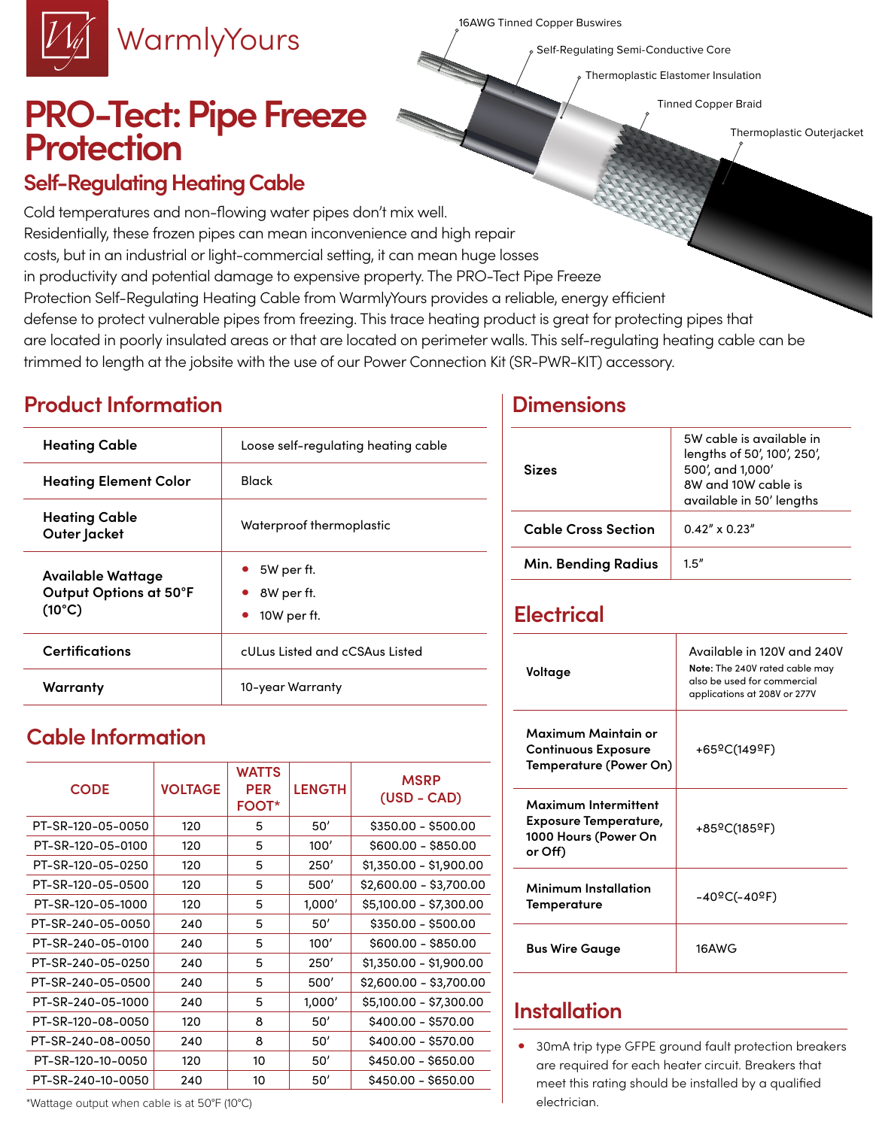16AWG Tinned Copper Buswires

Self-Regulating Semi-Conductive Core

Thermoplastic Elastomer Insulation

Tinned Copper Braid

Thermoplastic Outerjacket

# **PRO-Tect: Pipe Freeze Protection**

WarmlyYours

#### **Self-Regulating Heating Cable**

Cold temperatures and non-flowing water pipes don't mix well. Residentially, these frozen pipes can mean inconvenience and high repair costs, but in an industrial or light-commercial setting, it can mean huge losses in productivity and potential damage to expensive property. The PRO-Tect Pipe Freeze Protection Self-Regulating Heating Cable from WarmlyYours provides a reliable, energy efficient defense to protect vulnerable pipes from freezing. This trace heating product is great for protecting pipes that are located in poorly insulated areas or that are located on perimeter walls. This self-regulating heating cable can be trimmed to length at the jobsite with the use of our Power Connection Kit (SR-PWR-KIT) accessory.

### **Product Information Dimensions**

| <b>Heating Cable</b>                                           | Loose self-regulating heating cable     |
|----------------------------------------------------------------|-----------------------------------------|
| <b>Heating Element Color</b>                                   | Black                                   |
| <b>Heating Cable</b><br>Outer Jacket                           | Waterproof thermoplastic                |
| Available Wattage<br>Output Options at 50°F<br>$(10^{\circ}C)$ | 5W per ft.<br>8W per ft.<br>10W per ft. |
| <b>Certifications</b>                                          | cULus Listed and cCSAus Listed          |
| Warranty                                                       | 10-year Warranty                        |

## **Cable Information**

| <b>CODE</b>       | <b>VOLTAGE</b> | <b>WATTS</b><br><b>PER</b><br><b>FOOT*</b> | <b>LENGTH</b> | <b>MSRP</b><br>$(USD - CAD)$ |  |  |  |
|-------------------|----------------|--------------------------------------------|---------------|------------------------------|--|--|--|
| PT-SR-120-05-0050 | 120            | 5                                          | 50'           | $$350.00 - $500.00$          |  |  |  |
| PT-SR-120-05-0100 | 120            | 5                                          | 100'          | \$600.00 - \$850.00          |  |  |  |
| PT-SR-120-05-0250 | 120            | 5                                          | 250'          | $$1,350.00 - $1,900.00$      |  |  |  |
| PT-SR-120-05-0500 | 120            | 5                                          | 500'          | \$2,600.00 - \$3,700.00      |  |  |  |
| PT-SR-120-05-1000 | 120            | 5                                          | 1,000'        | \$5,100.00 - \$7,300.00      |  |  |  |
| PT-SR-240-05-0050 | 240            | 5                                          | 50'           | $$350.00 - $500.00$          |  |  |  |
| PT-SR-240-05-0100 | 240            | 5                                          | 100'          | \$600.00 - \$850.00          |  |  |  |
| PT-SR-240-05-0250 | 240            | 5                                          | 250'          | \$1,350.00 - \$1,900.00      |  |  |  |
| PT-SR-240-05-0500 | 240            | 5                                          | 500'          | \$2,600.00 - \$3,700.00      |  |  |  |
| PT-SR-240-05-1000 | 240            | 5                                          | 1,000'        | \$5,100.00 - \$7,300.00      |  |  |  |
| PT-SR-120-08-0050 | 120            | 8                                          | 50'           | \$400.00 - \$570.00          |  |  |  |
| PT-SR-240-08-0050 | 240            | 8                                          | 50'           | \$400.00 - \$570.00          |  |  |  |
| PT-SR-120-10-0050 | 120            | 10                                         | 50'           | \$450.00 - \$650.00          |  |  |  |
| PT-SR-240-10-0050 | 240            | 10                                         | 50'           | \$450.00 - \$650.00          |  |  |  |

#### \*Wattage output when cable is at 50°F (10°C)

| <b>Sizes</b>               | 5W cable is available in<br>lengths of 50', 100', 250',<br>500', and 1,000'<br>8W and 10W cable is<br>available in 50' lengths |  |  |  |  |  |
|----------------------------|--------------------------------------------------------------------------------------------------------------------------------|--|--|--|--|--|
| <b>Cable Cross Section</b> | $0.42'' \times 0.23''$                                                                                                         |  |  |  |  |  |
| <b>Min. Bending Radius</b> | 1.5''                                                                                                                          |  |  |  |  |  |

#### **Electrical**

| Voltage                                                                                 | Available in 120V and 240V<br>Note: The 240V rated cable may<br>also be used for commercial<br>applications at 208V or 277V |
|-----------------------------------------------------------------------------------------|-----------------------------------------------------------------------------------------------------------------------------|
| Maximum Maintain or<br><b>Continuous Exposure</b><br>Temperature (Power On)             | +65ºC(149ºF)                                                                                                                |
| Maximum Intermittent<br><b>Exposure Temperature,</b><br>1000 Hours (Power On<br>or Off) | +85ºC(185ºF)                                                                                                                |
| Minimum Installation<br>Temperature                                                     | -40ºC(-40ºF)                                                                                                                |
| <b>Bus Wire Gauge</b>                                                                   | 16AWG                                                                                                                       |

#### **Installation**

• 30mA trip type GFPE ground fault protection breakers are required for each heater circuit. Breakers that meet this rating should be installed by a qualified electrician.